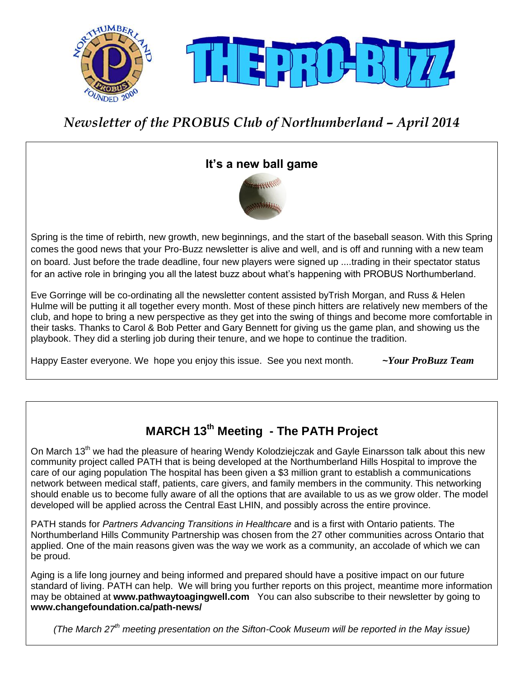

# *Newsletter of the PROBUS Club of Northumberland – April 2014*

## **It's a new ball game**



Spring is the time of rebirth, new growth, new beginnings, and the start of the baseball season. With this Spring comes the good news that your Pro-Buzz newsletter is alive and well, and is off and running with a new team on board. Just before the trade deadline, four new players were signed up ....trading in their spectator status for an active role in bringing you all the latest buzz about what's happening with PROBUS Northumberland.

Eve Gorringe will be co-ordinating all the newsletter content assisted byTrish Morgan, and Russ & Helen Hulme will be putting it all together every month. Most of these pinch hitters are relatively new members of the club, and hope to bring a new perspective as they get into the swing of things and become more comfortable in their tasks. Thanks to Carol & Bob Petter and Gary Bennett for giving us the game plan, and showing us the playbook. They did a sterling job during their tenure, and we hope to continue the tradition.

Happy Easter everyone. We hope you enjoy this issue. See you next month. **~***Your ProBuzz Team* 

# **MARCH 13th Meeting - The PATH Project**

On March 13<sup>th</sup> we had the pleasure of hearing Wendy Kolodziejczak and Gayle Einarsson talk about this new community project called PATH that is being developed at the Northumberland Hills Hospital to improve the care of our aging population The hospital has been given a \$3 million grant to establish a communications network between medical staff, patients, care givers, and family members in the community. This networking should enable us to become fully aware of all the options that are available to us as we grow older. The model developed will be applied across the Central East LHIN, and possibly across the entire province.

PATH stands for *Partners Advancing Transitions in Healthcare* and is a first with Ontario patients. The Northumberland Hills Community Partnership was chosen from the 27 other communities across Ontario that applied. One of the main reasons given was the way we work as a community, an accolade of which we can be proud.

Aging is a life long journey and being informed and prepared should have a positive impact on our future standard of living. PATH can help. We will bring you further reports on this project, meantime more information may be obtained at **[www.pathwaytoagingwell.com](http://www.pathwaytoagingwell.com/)** You can also subscribe to their newsletter by going to **[www.changefoundation.ca/path-news/](http://www.changefoundation.ca/path-news/)**

*(The March 27th meeting presentation on the Sifton-Cook Museum will be reported in the May issue)*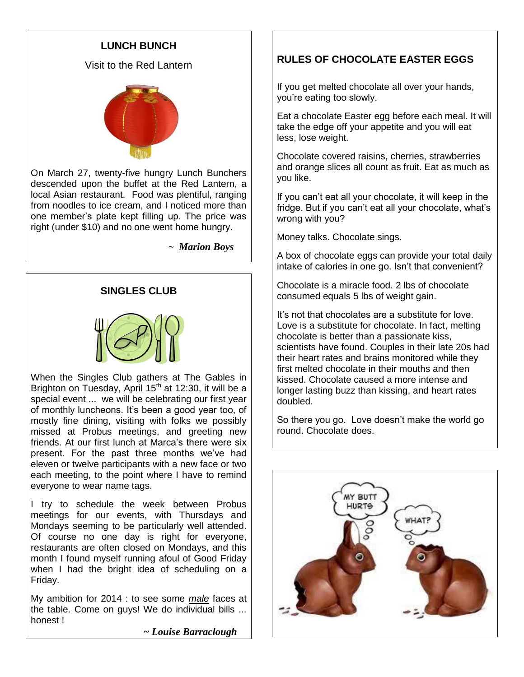### **LUNCH BUNCH**

Visit to the Red Lantern



On March 27, twenty-five hungry Lunch Bunchers descended upon the buffet at the Red Lantern, a local Asian restaurant. Food was plentiful, ranging from noodles to ice cream, and I noticed more than one member's plate kept filling up. The price was right (under \$10) and no one went home hungry.

 *~ Marion Boys*

#### **SINGLES CLUB**



When the Singles Club gathers at The Gables in Brighton on Tuesday, April 15<sup>th</sup> at 12:30, it will be a special event ... we will be celebrating our first year of monthly luncheons. It's been a good year too, of mostly fine dining, visiting with folks we possibly missed at Probus meetings, and greeting new friends. At our first lunch at Marca's there were six present. For the past three months we've had eleven or twelve participants with a new face or two each meeting, to the point where I have to remind everyone to wear name tags.

I try to schedule the week between Probus meetings for our events, with Thursdays and Mondays seeming to be particularly well attended. Of course no one day is right for everyone, restaurants are often closed on Mondays, and this month I found myself running afoul of Good Friday when I had the bright idea of scheduling on a Friday.

My ambition for 2014 : to see some *male* faces at the table. Come on guys! We do individual bills ... honest !

*~ Louise Barraclough*

### **RULES OF CHOCOLATE EASTER EGGS**

If you get melted chocolate all over your hands, you're eating too slowly.

Eat a chocolate Easter egg before each meal. It will take the edge off your appetite and you will eat less, lose weight.

Chocolate covered raisins, cherries, strawberries and orange slices all count as fruit. Eat as much as you like.

If you can't eat all your chocolate, it will keep in the fridge. But if you can't eat all your chocolate, what's wrong with you?

Money talks. Chocolate sings.

A box of chocolate eggs can provide your total daily intake of calories in one go. Isn't that convenient?

Chocolate is a miracle food. 2 lbs of chocolate consumed equals 5 lbs of weight gain.

It's not that chocolates are a substitute for love. Love is a substitute for chocolate. In fact, melting chocolate is better than a passionate kiss, scientists have found. Couples in their late 20s had their heart rates and brains monitored while they first melted chocolate in their mouths and then kissed. Chocolate caused a more intense and longer lasting buzz than kissing, and heart rates doubled.

So there you go. Love doesn't make the world go round. Chocolate does.

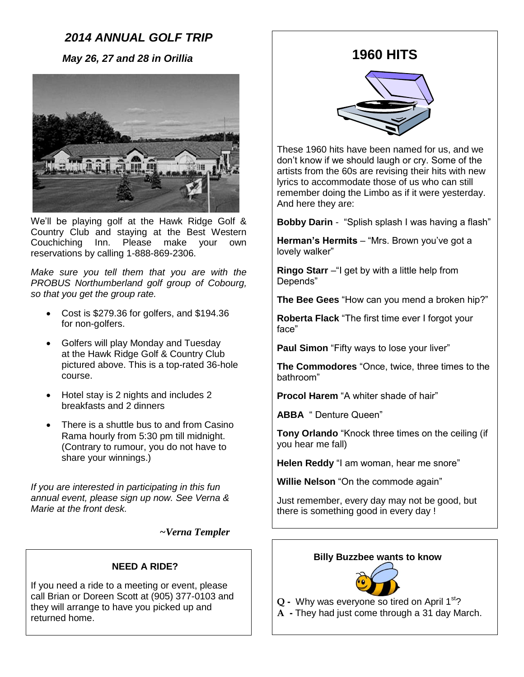## *2014 ANNUAL GOLF TRIP*

 *May 26, 27 and 28 in Orillia*



We'll be playing golf at the Hawk Ridge Golf & Country Club and staying at the Best Western Couchiching Inn. Please make your own reservations by calling 1-888-869-2306.

*Make sure you tell them that you are with the PROBUS Northumberland golf group of Cobourg, so that you get the group rate.*

- Cost is \$279.36 for golfers, and \$194.36 for non-golfers.
- Golfers will play Monday and Tuesday at the Hawk Ridge Golf & Country Club pictured above. This is a top-rated 36-hole course.
- Hotel stay is 2 nights and includes 2 breakfasts and 2 dinners
- There is a shuttle bus to and from Casino Rama hourly from 5:30 pm till midnight. (Contrary to rumour, you do not have to share your winnings.)

*If you are interested in participating in this fun annual event, please sign up now. See Verna & Marie at the front desk.*

 *~Verna Templer*

#### **NEED A RIDE?**

If you need a ride to a meeting or event, please call Brian or Doreen Scott at (905) 377-0103 and they will arrange to have you picked up and returned home.

## **1960 HITS**



These 1960 hits have been named for us, and we don't know if we should laugh or cry. Some of the artists from the 60s are revising their hits with new lyrics to accommodate those of us who can still remember doing the Limbo as if it were yesterday. And here they are:

**Bobby Darin** - "Splish splash I was having a flash"

**Herman's Hermits** – "Mrs. Brown you've got a lovely walker"

**Ringo Starr** –"I get by with a little help from Depends"

**The Bee Gees** "How can you mend a broken hip?"

**Roberta Flack** "The first time ever I forgot your face"

**Paul Simon** "Fifty ways to lose your liver"

**The Commodores** "Once, twice, three times to the bathroom"

**Procol Harem** "A whiter shade of hair"

**ABBA** " Denture Queen"

**Tony Orlando** "Knock three times on the ceiling (if you hear me fall)

**Helen Reddy** "I am woman, hear me snore"

**Willie Nelson** "On the commode again"

Just remember, every day may not be good, but there is something good in every day !

#### **Billy Buzzbee wants to know**



**Q -** Why was everyone so tired on April 1st?

**A -** They had just come through a 31 day March.